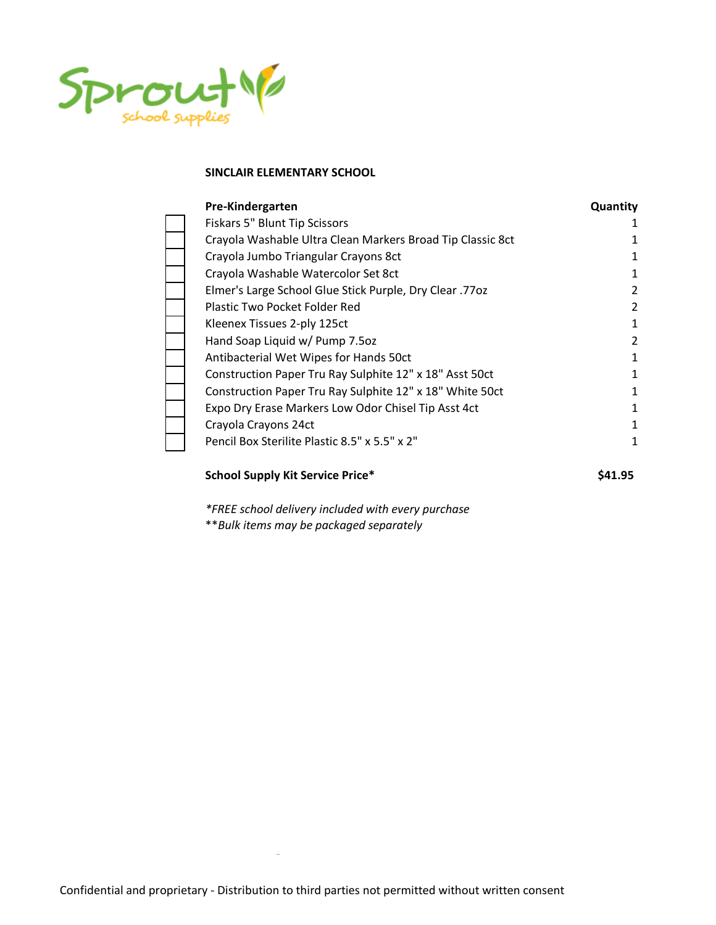

| Pre-Kindergarten                                           | Quantity |
|------------------------------------------------------------|----------|
| Fiskars 5" Blunt Tip Scissors                              | 1        |
| Crayola Washable Ultra Clean Markers Broad Tip Classic 8ct |          |
| Crayola Jumbo Triangular Crayons 8ct                       |          |
| Crayola Washable Watercolor Set 8ct                        | 1        |
| Elmer's Large School Glue Stick Purple, Dry Clear .77oz    | 2        |
| Plastic Two Pocket Folder Red                              | 2        |
| Kleenex Tissues 2-ply 125ct                                | 1        |
| Hand Soap Liquid w/ Pump 7.5oz                             | 2        |
| Antibacterial Wet Wipes for Hands 50ct                     | 1        |
| Construction Paper Tru Ray Sulphite 12" x 18" Asst 50ct    | 1        |
| Construction Paper Tru Ray Sulphite 12" x 18" White 50ct   | 1        |
| Expo Dry Erase Markers Low Odor Chisel Tip Asst 4ct        | 1        |
| Crayola Crayons 24ct                                       | 1        |
| Pencil Box Sterilite Plastic 8.5" x 5.5" x 2"              | 1        |

### **School Supply Kit Service Price\* \$41.95**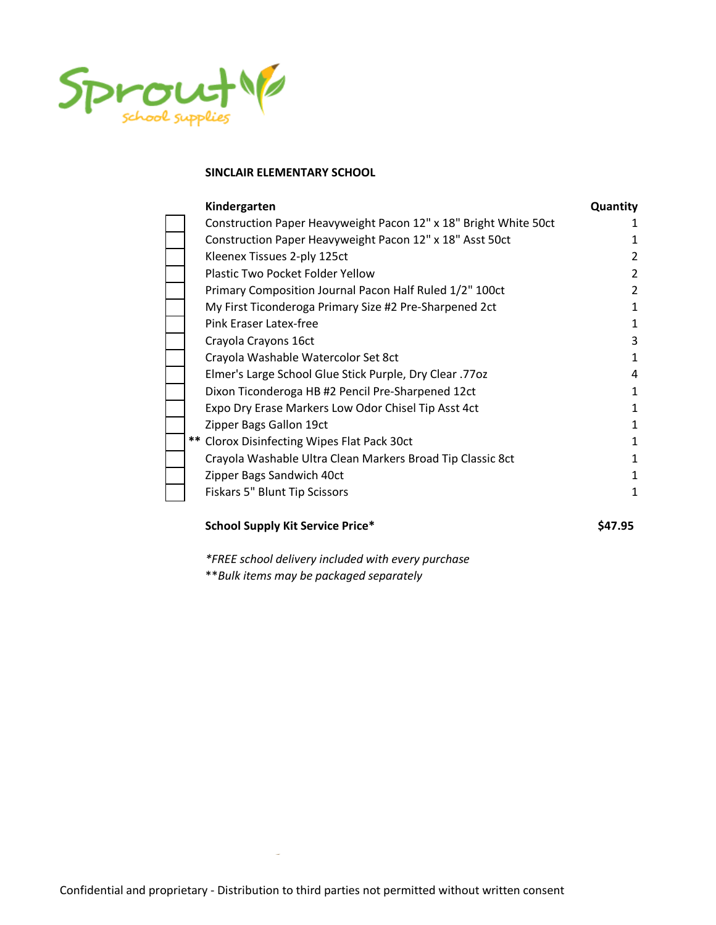

| Kindergarten                                                     | Quantity |
|------------------------------------------------------------------|----------|
| Construction Paper Heavyweight Pacon 12" x 18" Bright White 50ct |          |
| Construction Paper Heavyweight Pacon 12" x 18" Asst 50ct         |          |
| Kleenex Tissues 2-ply 125ct                                      | 2        |
| Plastic Two Pocket Folder Yellow                                 | 2        |
| Primary Composition Journal Pacon Half Ruled 1/2" 100ct          | 2        |
| My First Ticonderoga Primary Size #2 Pre-Sharpened 2ct           |          |
| Pink Eraser Latex-free                                           |          |
| Crayola Crayons 16ct                                             | 3        |
| Crayola Washable Watercolor Set 8ct                              |          |
| Elmer's Large School Glue Stick Purple, Dry Clear .77oz          | 4        |
| Dixon Ticonderoga HB #2 Pencil Pre-Sharpened 12ct                | 1        |
| Expo Dry Erase Markers Low Odor Chisel Tip Asst 4ct              | 1        |
| Zipper Bags Gallon 19ct                                          | 1        |
| ** Clorox Disinfecting Wipes Flat Pack 30ct                      | 1        |
| Crayola Washable Ultra Clean Markers Broad Tip Classic 8ct       |          |
| Zipper Bags Sandwich 40ct                                        |          |
| Fiskars 5" Blunt Tip Scissors                                    | 1        |

#### **School Supply Kit Service Price\* \$47.95**

*\*FREE school delivery included with every purchase*

\*\**Bulk items may be packaged separately*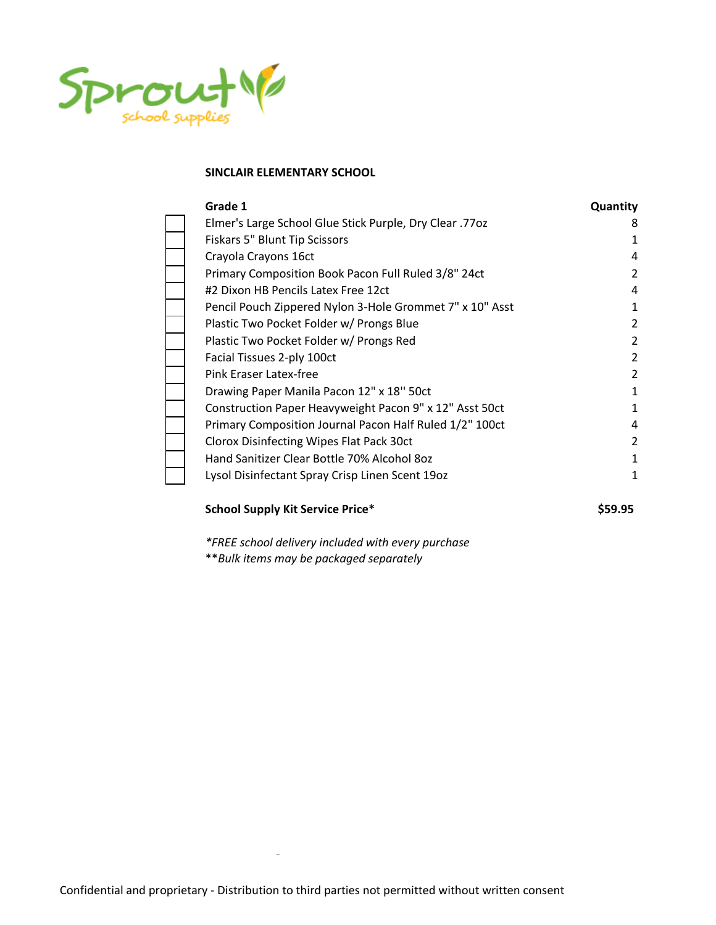

| Grade 1                                                  | Quantity |
|----------------------------------------------------------|----------|
| Elmer's Large School Glue Stick Purple, Dry Clear .770z  | 8        |
| Fiskars 5" Blunt Tip Scissors                            |          |
| Crayola Crayons 16ct                                     | 4        |
| Primary Composition Book Pacon Full Ruled 3/8" 24ct      | 2        |
| #2 Dixon HB Pencils Latex Free 12ct                      | 4        |
| Pencil Pouch Zippered Nylon 3-Hole Grommet 7" x 10" Asst |          |
| Plastic Two Pocket Folder w/ Prongs Blue                 | 2        |
| Plastic Two Pocket Folder w/ Prongs Red                  | 2        |
| Facial Tissues 2-ply 100ct                               | 2        |
| Pink Eraser Latex-free                                   | 2        |
| Drawing Paper Manila Pacon 12" x 18" 50ct                | 1        |
| Construction Paper Heavyweight Pacon 9" x 12" Asst 50ct  | 1        |
| Primary Composition Journal Pacon Half Ruled 1/2" 100ct  | 4        |
| Clorox Disinfecting Wipes Flat Pack 30ct                 | 2        |
| Hand Sanitizer Clear Bottle 70% Alcohol 80z              | 1        |
| Lysol Disinfectant Spray Crisp Linen Scent 19oz          | 1        |
|                                                          |          |

## **School Supply Kit Service Price\* \$59.95**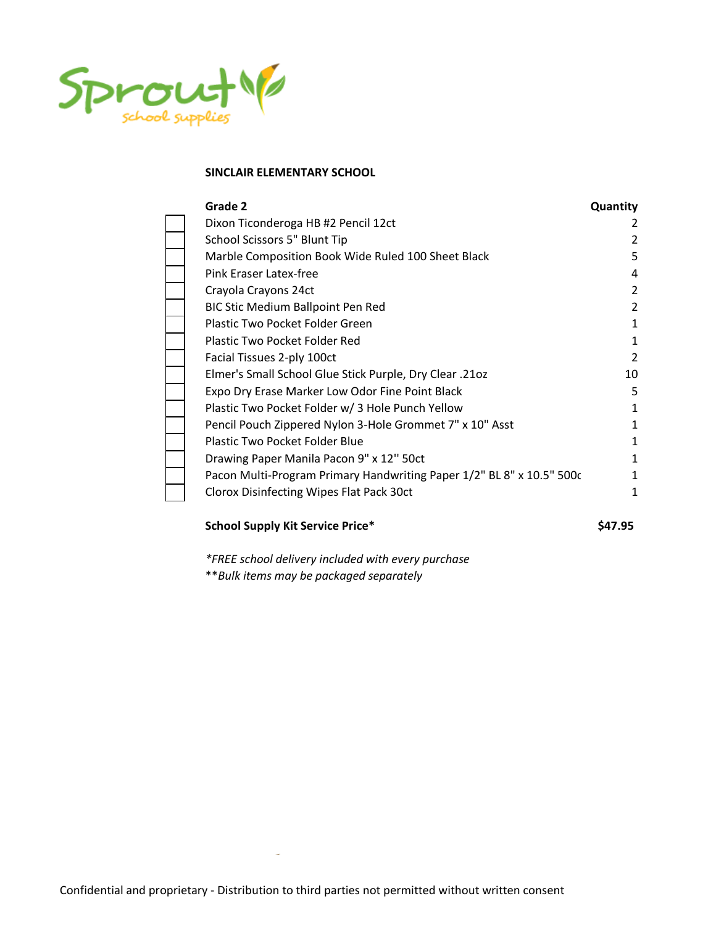

| Grade 2                                                              | Quantity |
|----------------------------------------------------------------------|----------|
| Dixon Ticonderoga HB #2 Pencil 12ct                                  |          |
| School Scissors 5" Blunt Tip                                         | 2        |
| Marble Composition Book Wide Ruled 100 Sheet Black                   | 5        |
| Pink Eraser Latex-free                                               | 4        |
| Crayola Crayons 24ct                                                 | 2        |
| BIC Stic Medium Ballpoint Pen Red                                    | 2        |
| Plastic Two Pocket Folder Green                                      | 1        |
| Plastic Two Pocket Folder Red                                        | 1        |
| Facial Tissues 2-ply 100ct                                           | 2        |
| Elmer's Small School Glue Stick Purple, Dry Clear .21oz              | 10       |
| Expo Dry Erase Marker Low Odor Fine Point Black                      | 5        |
| Plastic Two Pocket Folder w/ 3 Hole Punch Yellow                     |          |
| Pencil Pouch Zippered Nylon 3-Hole Grommet 7" x 10" Asst             |          |
| Plastic Two Pocket Folder Blue                                       |          |
| Drawing Paper Manila Pacon 9" x 12" 50ct                             |          |
| Pacon Multi-Program Primary Handwriting Paper 1/2" BL 8" x 10.5" 500 |          |
| Clorox Disinfecting Wipes Flat Pack 30ct                             | 1        |

#### **School Supply Kit Service Price\* \$47.95**

*\*FREE school delivery included with every purchase*

\*\**Bulk items may be packaged separately*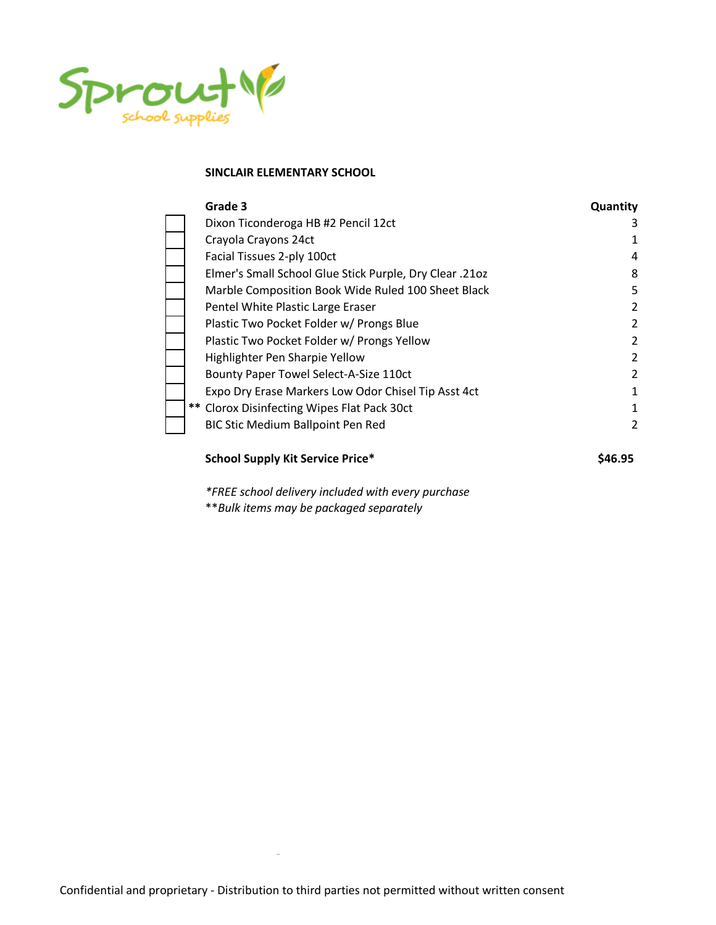

| Grade 3                                                 | Quantity      |
|---------------------------------------------------------|---------------|
| Dixon Ticonderoga HB #2 Pencil 12ct                     | 3             |
| Crayola Crayons 24ct                                    | 1             |
| Facial Tissues 2-ply 100ct                              | 4             |
| Elmer's Small School Glue Stick Purple, Dry Clear .21oz | 8             |
| Marble Composition Book Wide Ruled 100 Sheet Black      | 5             |
| Pentel White Plastic Large Eraser                       | 2             |
| Plastic Two Pocket Folder w/ Prongs Blue                | 2             |
| Plastic Two Pocket Folder w/ Prongs Yellow              | 2             |
| Highlighter Pen Sharpie Yellow                          | 2             |
| Bounty Paper Towel Select-A-Size 110ct                  | $\mathcal{L}$ |
| Expo Dry Erase Markers Low Odor Chisel Tip Asst 4ct     | 1             |
| ** Clorox Disinfecting Wipes Flat Pack 30ct             | 1             |
| BIC Stic Medium Ballpoint Pen Red                       | 2             |

## **School Supply Kit Service Price\* \$46.95**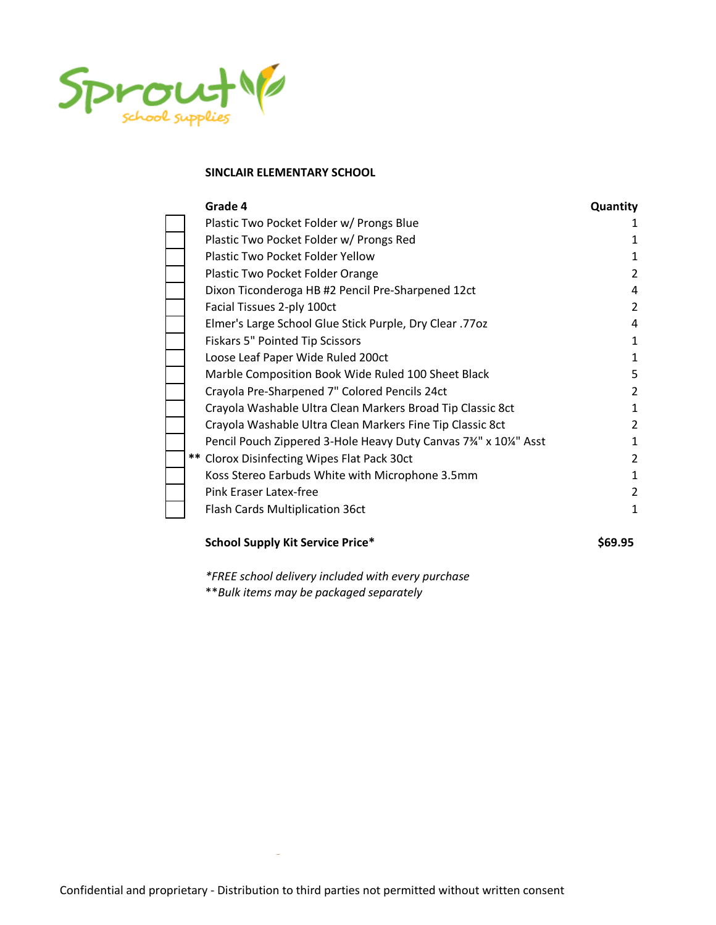

| Grade 4                                                    | Quantity                                                                                                                                                                                                                                                                                                                                        |
|------------------------------------------------------------|-------------------------------------------------------------------------------------------------------------------------------------------------------------------------------------------------------------------------------------------------------------------------------------------------------------------------------------------------|
| Plastic Two Pocket Folder w/ Prongs Blue                   |                                                                                                                                                                                                                                                                                                                                                 |
| Plastic Two Pocket Folder w/ Prongs Red                    |                                                                                                                                                                                                                                                                                                                                                 |
| Plastic Two Pocket Folder Yellow                           |                                                                                                                                                                                                                                                                                                                                                 |
| Plastic Two Pocket Folder Orange                           | 2                                                                                                                                                                                                                                                                                                                                               |
| Dixon Ticonderoga HB #2 Pencil Pre-Sharpened 12ct          | 4                                                                                                                                                                                                                                                                                                                                               |
| Facial Tissues 2-ply 100ct                                 | 2                                                                                                                                                                                                                                                                                                                                               |
|                                                            | 4                                                                                                                                                                                                                                                                                                                                               |
| <b>Fiskars 5" Pointed Tip Scissors</b>                     |                                                                                                                                                                                                                                                                                                                                                 |
|                                                            |                                                                                                                                                                                                                                                                                                                                                 |
| Marble Composition Book Wide Ruled 100 Sheet Black         | 5                                                                                                                                                                                                                                                                                                                                               |
|                                                            | 2                                                                                                                                                                                                                                                                                                                                               |
| Crayola Washable Ultra Clean Markers Broad Tip Classic 8ct |                                                                                                                                                                                                                                                                                                                                                 |
| Crayola Washable Ultra Clean Markers Fine Tip Classic 8ct  | 2                                                                                                                                                                                                                                                                                                                                               |
|                                                            |                                                                                                                                                                                                                                                                                                                                                 |
|                                                            | 2                                                                                                                                                                                                                                                                                                                                               |
|                                                            | 1                                                                                                                                                                                                                                                                                                                                               |
| Pink Eraser Latex-free                                     | 2                                                                                                                                                                                                                                                                                                                                               |
| Flash Cards Multiplication 36ct                            | 1                                                                                                                                                                                                                                                                                                                                               |
|                                                            | Elmer's Large School Glue Stick Purple, Dry Clear .77oz<br>Loose Leaf Paper Wide Ruled 200ct<br>Crayola Pre-Sharpened 7" Colored Pencils 24ct<br>Pencil Pouch Zippered 3-Hole Heavy Duty Canvas 7 <sup>3</sup> /4" x 10 <sup>1/4</sup> " Asst<br>** Clorox Disinfecting Wipes Flat Pack 30ct<br>Koss Stereo Earbuds White with Microphone 3.5mm |

# **School Supply Kit Service Price\* \$69.95**